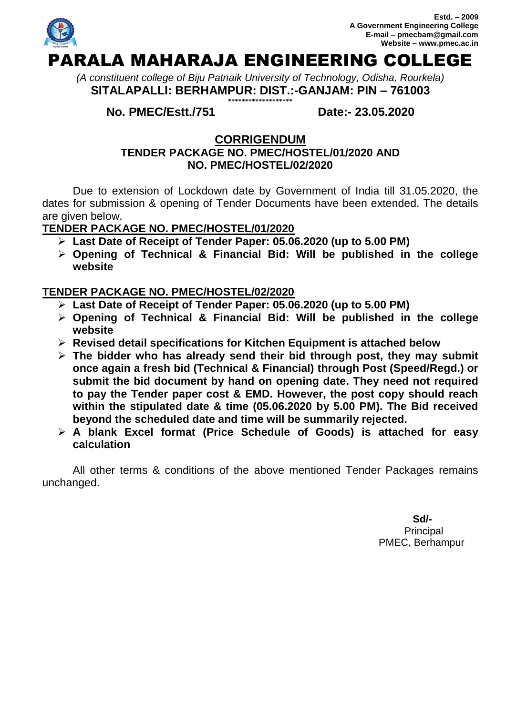

*(A constituent college of Biju Patnaik University of Technology, Odisha, Rourkela)* **SITALAPALLI: BERHAMPUR: DIST.:-GANJAM: PIN – 761003 \*\*\*\*\*\*\*\*\*\*\*\*\*\*\*\*\*\*\***

**No. PMEC/Estt./751 Date:- 23.05.2020**

## **CORRIGENDUM**

## **TENDER PACKAGE NO. PMEC/HOSTEL/01/2020 AND NO. PMEC/HOSTEL/02/2020**

Due to extension of Lockdown date by Government of India till 31.05.2020, the dates for submission & opening of Tender Documents have been extended. The details are given below.

## **TENDER PACKAGE NO. PMEC/HOSTEL/01/2020**

- **Last Date of Receipt of Tender Paper: 05.06.2020 (up to 5.00 PM)**
- **Opening of Technical & Financial Bid: Will be published in the college website**

## **TENDER PACKAGE NO. PMEC/HOSTEL/02/2020**

- **Last Date of Receipt of Tender Paper: 05.06.2020 (up to 5.00 PM)**
- **Opening of Technical & Financial Bid: Will be published in the college website**
- **Revised detail specifications for Kitchen Equipment is attached below**
- **The bidder who has already send their bid through post, they may submit once again a fresh bid (Technical & Financial) through Post (Speed/Regd.) or submit the bid document by hand on opening date. They need not required to pay the Tender paper cost & EMD. However, the post copy should reach within the stipulated date & time (05.06.2020 by 5.00 PM). The Bid received beyond the scheduled date and time will be summarily rejected.**
- **A blank Excel format (Price Schedule of Goods) is attached for easy calculation**

All other terms & conditions of the above mentioned Tender Packages remains unchanged.

> **Sd/- Principal** PMEC, Berhampur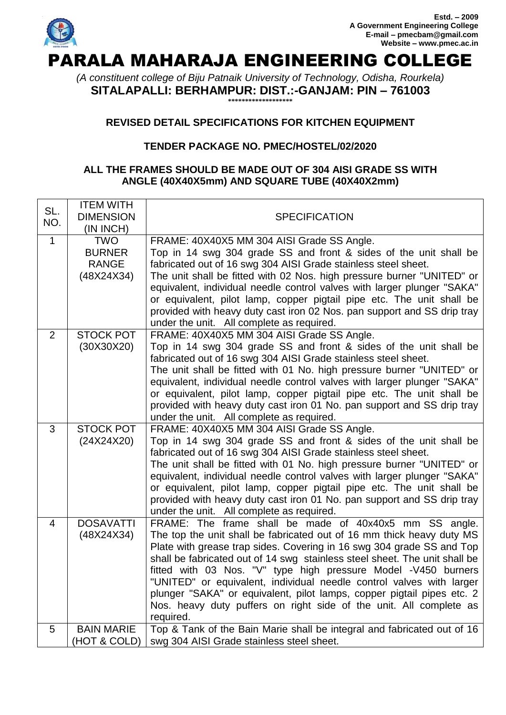

# PARALA MAHARAJA ENGINEERING COLLEGE

*(A constituent college of Biju Patnaik University of Technology, Odisha, Rourkela)* **SITALAPALLI: BERHAMPUR: DIST.:-GANJAM: PIN – 761003 \*\*\*\*\*\*\*\*\*\*\*\*\*\*\*\*\*\*\***

### **REVISED DETAIL SPECIFICATIONS FOR KITCHEN EQUIPMENT**

### **TENDER PACKAGE NO. PMEC/HOSTEL/02/2020**

#### **ALL THE FRAMES SHOULD BE MADE OUT OF 304 AISI GRADE SS WITH ANGLE (40X40X5mm) AND SQUARE TUBE (40X40X2mm)**

| SL.<br>NO.   | <b>ITEM WITH</b><br><b>DIMENSION</b><br>(IN INCH) | <b>SPECIFICATION</b>                                                                                                                            |
|--------------|---------------------------------------------------|-------------------------------------------------------------------------------------------------------------------------------------------------|
| $\mathbf{1}$ | <b>TWO</b>                                        | FRAME: 40X40X5 MM 304 AISI Grade SS Angle.                                                                                                      |
|              | <b>BURNER</b><br><b>RANGE</b>                     | Top in 14 swg 304 grade SS and front & sides of the unit shall be                                                                               |
|              | (48X24X34)                                        | fabricated out of 16 swg 304 AISI Grade stainless steel sheet.<br>The unit shall be fitted with 02 Nos. high pressure burner "UNITED" or        |
|              |                                                   | equivalent, individual needle control valves with larger plunger "SAKA"                                                                         |
|              |                                                   | or equivalent, pilot lamp, copper pigtail pipe etc. The unit shall be                                                                           |
|              |                                                   | provided with heavy duty cast iron 02 Nos. pan support and SS drip tray                                                                         |
| 2            | <b>STOCK POT</b>                                  | under the unit. All complete as required.<br>FRAME: 40X40X5 MM 304 AISI Grade SS Angle.                                                         |
|              | (30X30X20)                                        | Top in 14 swg 304 grade SS and front & sides of the unit shall be                                                                               |
|              |                                                   | fabricated out of 16 swg 304 AISI Grade stainless steel sheet.                                                                                  |
|              |                                                   | The unit shall be fitted with 01 No. high pressure burner "UNITED" or                                                                           |
|              |                                                   | equivalent, individual needle control valves with larger plunger "SAKA"                                                                         |
|              |                                                   | or equivalent, pilot lamp, copper pigtail pipe etc. The unit shall be<br>provided with heavy duty cast iron 01 No. pan support and SS drip tray |
|              |                                                   | under the unit. All complete as required.                                                                                                       |
| 3            | <b>STOCK POT</b>                                  | FRAME: 40X40X5 MM 304 AISI Grade SS Angle.                                                                                                      |
|              | (24X24X20)                                        | Top in 14 swg 304 grade SS and front & sides of the unit shall be                                                                               |
|              |                                                   | fabricated out of 16 swg 304 AISI Grade stainless steel sheet.<br>The unit shall be fitted with 01 No. high pressure burner "UNITED" or         |
|              |                                                   | equivalent, individual needle control valves with larger plunger "SAKA"                                                                         |
|              |                                                   | or equivalent, pilot lamp, copper pigtail pipe etc. The unit shall be                                                                           |
|              |                                                   | provided with heavy duty cast iron 01 No. pan support and SS drip tray                                                                          |
|              |                                                   | under the unit. All complete as required.                                                                                                       |
| 4            | <b>DOSAVATTI</b><br>(48X24X34)                    | FRAME: The frame shall be made of 40x40x5 mm SS angle.<br>The top the unit shall be fabricated out of 16 mm thick heavy duty MS                 |
|              |                                                   | Plate with grease trap sides. Covering in 16 swg 304 grade SS and Top                                                                           |
|              |                                                   | shall be fabricated out of 14 swg stainless steel sheet. The unit shall be                                                                      |
|              |                                                   | fitted with 03 Nos. "V" type high pressure Model -V450 burners                                                                                  |
|              |                                                   | "UNITED" or equivalent, individual needle control valves with larger                                                                            |
|              |                                                   | plunger "SAKA" or equivalent, pilot lamps, copper pigtail pipes etc. 2<br>Nos. heavy duty puffers on right side of the unit. All complete as    |
|              |                                                   | required.                                                                                                                                       |
| 5            | <b>BAIN MARIE</b>                                 | Top & Tank of the Bain Marie shall be integral and fabricated out of 16                                                                         |
|              | (HOT & COLD)                                      | swg 304 AISI Grade stainless steel sheet.                                                                                                       |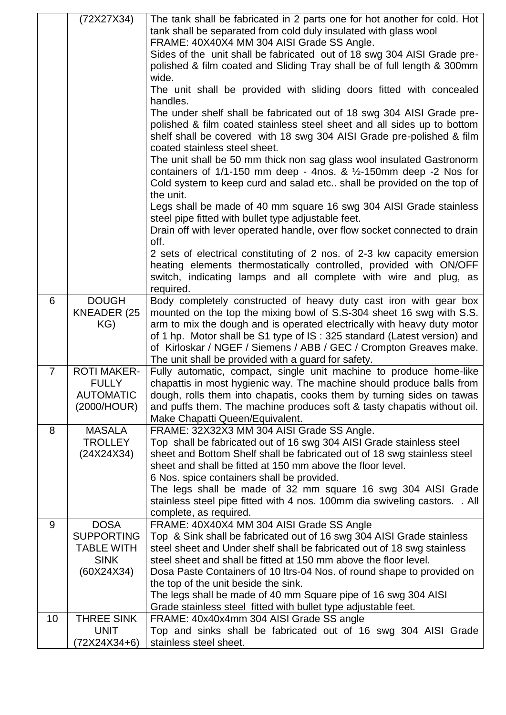|                | (72X27X34)                                      | The tank shall be fabricated in 2 parts one for hot another for cold. Hot<br>tank shall be separated from cold duly insulated with glass wool<br>FRAME: 40X40X4 MM 304 AISI Grade SS Angle.<br>Sides of the unit shall be fabricated out of 18 swg 304 AISI Grade pre-<br>polished & film coated and Sliding Tray shall be of full length & 300mm<br>wide.<br>The unit shall be provided with sliding doors fitted with concealed<br>handles.<br>The under shelf shall be fabricated out of 18 swg 304 AISI Grade pre-<br>polished & film coated stainless steel sheet and all sides up to bottom<br>shelf shall be covered with 18 swg 304 AISI Grade pre-polished & film<br>coated stainless steel sheet.<br>The unit shall be 50 mm thick non sag glass wool insulated Gastronorm<br>containers of $1/1$ -150 mm deep - 4nos. & $\frac{1}{2}$ -150mm deep -2 Nos for<br>Cold system to keep curd and salad etc shall be provided on the top of<br>the unit.<br>Legs shall be made of 40 mm square 16 swg 304 AISI Grade stainless<br>steel pipe fitted with bullet type adjustable feet.<br>Drain off with lever operated handle, over flow socket connected to drain<br>off.<br>2 sets of electrical constituting of 2 nos. of 2-3 kw capacity emersion<br>heating elements thermostatically controlled, provided with ON/OFF<br>switch, indicating lamps and all complete with wire and plug, as |
|----------------|-------------------------------------------------|-------------------------------------------------------------------------------------------------------------------------------------------------------------------------------------------------------------------------------------------------------------------------------------------------------------------------------------------------------------------------------------------------------------------------------------------------------------------------------------------------------------------------------------------------------------------------------------------------------------------------------------------------------------------------------------------------------------------------------------------------------------------------------------------------------------------------------------------------------------------------------------------------------------------------------------------------------------------------------------------------------------------------------------------------------------------------------------------------------------------------------------------------------------------------------------------------------------------------------------------------------------------------------------------------------------------------------------------------------------------------------------------------------|
|                |                                                 | required.                                                                                                                                                                                                                                                                                                                                                                                                                                                                                                                                                                                                                                                                                                                                                                                                                                                                                                                                                                                                                                                                                                                                                                                                                                                                                                                                                                                             |
| 6              | <b>DOUGH</b><br>KNEADER (25<br>KG)              | Body completely constructed of heavy duty cast iron with gear box<br>mounted on the top the mixing bowl of S.S-304 sheet 16 swg with S.S.<br>arm to mix the dough and is operated electrically with heavy duty motor<br>of 1 hp. Motor shall be S1 type of IS: 325 standard (Latest version) and<br>of Kirloskar / NGEF / Siemens / ABB / GEC / Crompton Greaves make.<br>The unit shall be provided with a guard for safety.                                                                                                                                                                                                                                                                                                                                                                                                                                                                                                                                                                                                                                                                                                                                                                                                                                                                                                                                                                         |
| $\overline{7}$ | <b>ROTI MAKER-</b>                              | Fully automatic, compact, single unit machine to produce home-like                                                                                                                                                                                                                                                                                                                                                                                                                                                                                                                                                                                                                                                                                                                                                                                                                                                                                                                                                                                                                                                                                                                                                                                                                                                                                                                                    |
|                | <b>FULLY</b><br><b>AUTOMATIC</b><br>(2000/HOUR) | chapattis in most hygienic way. The machine should produce balls from<br>dough, rolls them into chapatis, cooks them by turning sides on tawas<br>and puffs them. The machine produces soft & tasty chapatis without oil.<br>Make Chapatti Queen/Equivalent.                                                                                                                                                                                                                                                                                                                                                                                                                                                                                                                                                                                                                                                                                                                                                                                                                                                                                                                                                                                                                                                                                                                                          |
| 8              | <b>MASALA</b>                                   | FRAME: 32X32X3 MM 304 AISI Grade SS Angle.                                                                                                                                                                                                                                                                                                                                                                                                                                                                                                                                                                                                                                                                                                                                                                                                                                                                                                                                                                                                                                                                                                                                                                                                                                                                                                                                                            |
|                | <b>TROLLEY</b><br>(24X24X34)                    | Top shall be fabricated out of 16 swg 304 AISI Grade stainless steel<br>sheet and Bottom Shelf shall be fabricated out of 18 swg stainless steel<br>sheet and shall be fitted at 150 mm above the floor level.<br>6 Nos. spice containers shall be provided.<br>The legs shall be made of 32 mm square 16 swg 304 AISI Grade<br>stainless steel pipe fitted with 4 nos. 100mm dia swiveling castors. . All<br>complete, as required.                                                                                                                                                                                                                                                                                                                                                                                                                                                                                                                                                                                                                                                                                                                                                                                                                                                                                                                                                                  |
| 9              | <b>DOSA</b><br><b>SUPPORTING</b>                | FRAME: 40X40X4 MM 304 AISI Grade SS Angle                                                                                                                                                                                                                                                                                                                                                                                                                                                                                                                                                                                                                                                                                                                                                                                                                                                                                                                                                                                                                                                                                                                                                                                                                                                                                                                                                             |
|                | TABLE WITH<br><b>SINK</b>                       | Top & Sink shall be fabricated out of 16 swg 304 AISI Grade stainless<br>steel sheet and Under shelf shall be fabricated out of 18 swg stainless<br>steel sheet and shall be fitted at 150 mm above the floor level.                                                                                                                                                                                                                                                                                                                                                                                                                                                                                                                                                                                                                                                                                                                                                                                                                                                                                                                                                                                                                                                                                                                                                                                  |
|                | (60X24X34)                                      | Dosa Paste Containers of 10 Itrs-04 Nos. of round shape to provided on                                                                                                                                                                                                                                                                                                                                                                                                                                                                                                                                                                                                                                                                                                                                                                                                                                                                                                                                                                                                                                                                                                                                                                                                                                                                                                                                |
|                |                                                 | the top of the unit beside the sink.<br>The legs shall be made of 40 mm Square pipe of 16 swg 304 AISI<br>Grade stainless steel fitted with bullet type adjustable feet.                                                                                                                                                                                                                                                                                                                                                                                                                                                                                                                                                                                                                                                                                                                                                                                                                                                                                                                                                                                                                                                                                                                                                                                                                              |
| 10             | <b>THREE SINK</b>                               | FRAME: 40x40x4mm 304 AISI Grade SS angle                                                                                                                                                                                                                                                                                                                                                                                                                                                                                                                                                                                                                                                                                                                                                                                                                                                                                                                                                                                                                                                                                                                                                                                                                                                                                                                                                              |
|                | <b>UNIT</b>                                     | Top and sinks shall be fabricated out of 16 swg 304 AISI Grade                                                                                                                                                                                                                                                                                                                                                                                                                                                                                                                                                                                                                                                                                                                                                                                                                                                                                                                                                                                                                                                                                                                                                                                                                                                                                                                                        |
|                | (72X24X34+6)                                    | stainless steel sheet.                                                                                                                                                                                                                                                                                                                                                                                                                                                                                                                                                                                                                                                                                                                                                                                                                                                                                                                                                                                                                                                                                                                                                                                                                                                                                                                                                                                |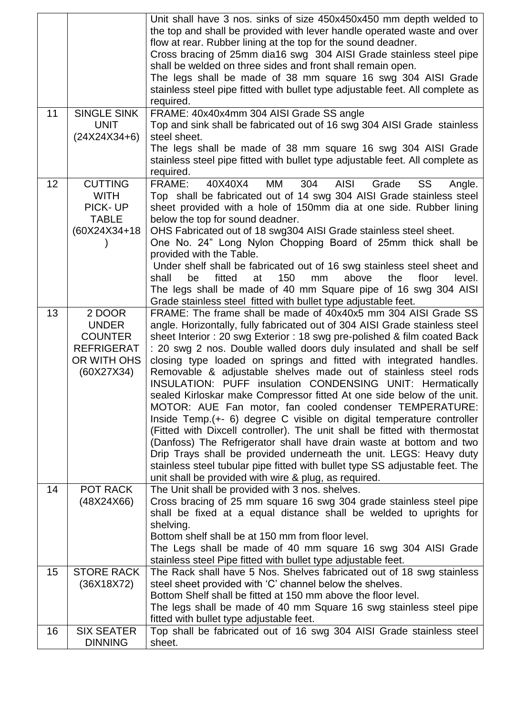|    |                    | Unit shall have 3 nos. sinks of size 450x450x450 mm depth welded to           |
|----|--------------------|-------------------------------------------------------------------------------|
|    |                    | the top and shall be provided with lever handle operated waste and over       |
|    |                    | flow at rear. Rubber lining at the top for the sound deadner.                 |
|    |                    | Cross bracing of 25mm dia16 swg 304 AISI Grade stainless steel pipe           |
|    |                    | shall be welded on three sides and front shall remain open.                   |
|    |                    | The legs shall be made of 38 mm square 16 swg 304 AISI Grade                  |
|    |                    | stainless steel pipe fitted with bullet type adjustable feet. All complete as |
|    |                    | required.                                                                     |
| 11 | <b>SINGLE SINK</b> | FRAME: 40x40x4mm 304 AISI Grade SS angle                                      |
|    | <b>UNIT</b>        | Top and sink shall be fabricated out of 16 swg 304 AISI Grade stainless       |
|    | $(24X24X34+6)$     | steel sheet.                                                                  |
|    |                    | The legs shall be made of 38 mm square 16 swg 304 AISI Grade                  |
|    |                    | stainless steel pipe fitted with bullet type adjustable feet. All complete as |
|    |                    | required.                                                                     |
| 12 | <b>CUTTING</b>     | FRAME:<br>MM<br>304<br><b>AISI</b><br>Grade<br>40X40X4<br>SS<br>Angle.        |
|    | <b>WITH</b>        | Top shall be fabricated out of 14 swg 304 AISI Grade stainless steel          |
|    | PICK-UP            | sheet provided with a hole of 150mm dia at one side. Rubber lining            |
|    | <b>TABLE</b>       | below the top for sound deadner.                                              |
|    | (60X24X34+18)      | OHS Fabricated out of 18 swg304 AISI Grade stainless steel sheet.             |
|    |                    | One No. 24" Long Nylon Chopping Board of 25mm thick shall be                  |
|    |                    |                                                                               |
|    |                    | provided with the Table.                                                      |
|    |                    | Under shelf shall be fabricated out of 16 swg stainless steel sheet and       |
|    |                    | 150<br>be<br>fitted<br>at<br>above<br>the<br>floor<br>shall<br>mm<br>level.   |
|    |                    | The legs shall be made of 40 mm Square pipe of 16 swg 304 AISI                |
|    |                    | Grade stainless steel fitted with bullet type adjustable feet.                |
| 13 | 2 DOOR             | FRAME: The frame shall be made of 40x40x5 mm 304 AISI Grade SS                |
|    | <b>UNDER</b>       | angle. Horizontally, fully fabricated out of 304 AISI Grade stainless steel   |
|    | <b>COUNTER</b>     | sheet Interior: 20 swg Exterior: 18 swg pre-polished & film coated Back       |
|    | <b>REFRIGERAT</b>  | : 20 swg 2 nos. Double walled doors duly insulated and shall be self          |
|    | OR WITH OHS        | closing type loaded on springs and fitted with integrated handles.            |
|    | (60X27X34)         | Removable & adjustable shelves made out of stainless steel rods               |
|    |                    | INSULATION: PUFF insulation CONDENSING UNIT: Hermatically                     |
|    |                    | sealed Kirloskar make Compressor fitted At one side below of the unit.        |
|    |                    | MOTOR: AUE Fan motor, fan cooled condenser TEMPERATURE:                       |
|    |                    | Inside Temp. (+- 6) degree C visible on digital temperature controller        |
|    |                    | (Fitted with Dixcell controller). The unit shall be fitted with thermostat    |
|    |                    | (Danfoss) The Refrigerator shall have drain waste at bottom and two           |
|    |                    | Drip Trays shall be provided underneath the unit. LEGS: Heavy duty            |
|    |                    | stainless steel tubular pipe fitted with bullet type SS adjustable feet. The  |
|    |                    | unit shall be provided with wire & plug, as required.                         |
| 14 | <b>POT RACK</b>    | The Unit shall be provided with 3 nos. shelves.                               |
|    | (48X24X66)         | Cross bracing of 25 mm square 16 swg 304 grade stainless steel pipe           |
|    |                    | shall be fixed at a equal distance shall be welded to uprights for            |
|    |                    | shelving.                                                                     |
|    |                    | Bottom shelf shall be at 150 mm from floor level.                             |
|    |                    | The Legs shall be made of 40 mm square 16 swg 304 AISI Grade                  |
|    |                    | stainless steel Pipe fitted with bullet type adjustable feet.                 |
| 15 | <b>STORE RACK</b>  | The Rack shall have 5 Nos. Shelves fabricated out of 18 swg stainless         |
|    | (36X18X72)         | steel sheet provided with 'C' channel below the shelves.                      |
|    |                    | Bottom Shelf shall be fitted at 150 mm above the floor level.                 |
|    |                    | The legs shall be made of 40 mm Square 16 swg stainless steel pipe            |
|    |                    | fitted with bullet type adjustable feet.                                      |
| 16 | <b>SIX SEATER</b>  | Top shall be fabricated out of 16 swg 304 AISI Grade stainless steel          |
|    | <b>DINNING</b>     | sheet.                                                                        |
|    |                    |                                                                               |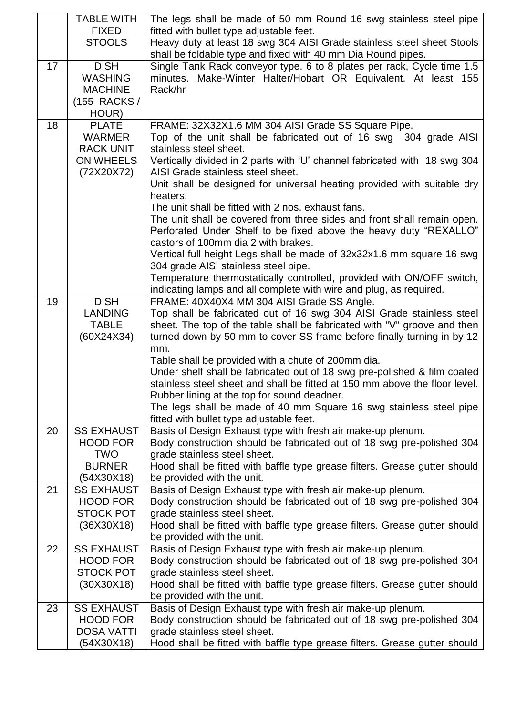|    | <b>TABLE WITH</b>                   | The legs shall be made of 50 mm Round 16 swg stainless steel pipe                                                                      |
|----|-------------------------------------|----------------------------------------------------------------------------------------------------------------------------------------|
|    | <b>FIXED</b>                        | fitted with bullet type adjustable feet.                                                                                               |
|    | <b>STOOLS</b>                       | Heavy duty at least 18 swg 304 AISI Grade stainless steel sheet Stools<br>shall be foldable type and fixed with 40 mm Dia Round pipes. |
| 17 | <b>DISH</b>                         | Single Tank Rack conveyor type. 6 to 8 plates per rack, Cycle time 1.5                                                                 |
|    | <b>WASHING</b>                      | minutes. Make-Winter Halter/Hobart OR Equivalent. At least 155                                                                         |
|    | <b>MACHINE</b>                      | Rack/hr                                                                                                                                |
|    | (155 RACKS /                        |                                                                                                                                        |
|    | HOUR)                               |                                                                                                                                        |
| 18 | <b>PLATE</b>                        | FRAME: 32X32X1.6 MM 304 AISI Grade SS Square Pipe.                                                                                     |
|    | <b>WARMER</b>                       | Top of the unit shall be fabricated out of 16 swg 304 grade AISI                                                                       |
|    | <b>RACK UNIT</b>                    | stainless steel sheet.                                                                                                                 |
|    | <b>ON WHEELS</b>                    | Vertically divided in 2 parts with 'U' channel fabricated with 18 swg 304                                                              |
|    | (72X20X72)                          | AISI Grade stainless steel sheet.<br>Unit shall be designed for universal heating provided with suitable dry                           |
|    |                                     | heaters.                                                                                                                               |
|    |                                     | The unit shall be fitted with 2 nos. exhaust fans.                                                                                     |
|    |                                     | The unit shall be covered from three sides and front shall remain open.                                                                |
|    |                                     | Perforated Under Shelf to be fixed above the heavy duty "REXALLO"                                                                      |
|    |                                     | castors of 100mm dia 2 with brakes.                                                                                                    |
|    |                                     | Vertical full height Legs shall be made of 32x32x1.6 mm square 16 swg                                                                  |
|    |                                     | 304 grade AISI stainless steel pipe.                                                                                                   |
|    |                                     | Temperature thermostatically controlled, provided with ON/OFF switch,                                                                  |
|    |                                     | indicating lamps and all complete with wire and plug, as required.                                                                     |
| 19 | <b>DISH</b><br><b>LANDING</b>       | FRAME: 40X40X4 MM 304 AISI Grade SS Angle.<br>Top shall be fabricated out of 16 swg 304 AISI Grade stainless steel                     |
|    | <b>TABLE</b>                        | sheet. The top of the table shall be fabricated with "V" groove and then                                                               |
|    | (60X24X34)                          | turned down by 50 mm to cover SS frame before finally turning in by 12                                                                 |
|    |                                     | mm.                                                                                                                                    |
|    |                                     | Table shall be provided with a chute of 200mm dia.                                                                                     |
|    |                                     | Under shelf shall be fabricated out of 18 swg pre-polished & film coated                                                               |
|    |                                     | stainless steel sheet and shall be fitted at 150 mm above the floor level.                                                             |
|    |                                     | Rubber lining at the top for sound deadner.                                                                                            |
|    |                                     | The legs shall be made of 40 mm Square 16 swg stainless steel pipe                                                                     |
|    | <b>SS EXHAUST</b>                   | fitted with bullet type adjustable feet.                                                                                               |
| 20 | <b>HOOD FOR</b>                     | Basis of Design Exhaust type with fresh air make-up plenum.<br>Body construction should be fabricated out of 18 swg pre-polished 304   |
|    | <b>TWO</b>                          | grade stainless steel sheet.                                                                                                           |
|    | <b>BURNER</b>                       | Hood shall be fitted with baffle type grease filters. Grease gutter should                                                             |
|    | (54X30X18)                          | be provided with the unit.                                                                                                             |
| 21 | <b>SS EXHAUST</b>                   | Basis of Design Exhaust type with fresh air make-up plenum.                                                                            |
|    | <b>HOOD FOR</b>                     | Body construction should be fabricated out of 18 swg pre-polished 304                                                                  |
|    | <b>STOCK POT</b>                    | grade stainless steel sheet.                                                                                                           |
|    | (36X30X18)                          | Hood shall be fitted with baffle type grease filters. Grease gutter should                                                             |
|    |                                     | be provided with the unit.                                                                                                             |
| 22 | <b>SS EXHAUST</b>                   | Basis of Design Exhaust type with fresh air make-up plenum.                                                                            |
|    | <b>HOOD FOR</b><br><b>STOCK POT</b> | Body construction should be fabricated out of 18 swg pre-polished 304<br>grade stainless steel sheet.                                  |
|    | (30X30X18)                          | Hood shall be fitted with baffle type grease filters. Grease gutter should                                                             |
|    |                                     | be provided with the unit.                                                                                                             |
| 23 | <b>SS EXHAUST</b>                   | Basis of Design Exhaust type with fresh air make-up plenum.                                                                            |
|    | <b>HOOD FOR</b>                     | Body construction should be fabricated out of 18 swg pre-polished 304                                                                  |
|    | <b>DOSA VATTI</b>                   | grade stainless steel sheet.                                                                                                           |
|    | (54X30X18)                          | Hood shall be fitted with baffle type grease filters. Grease gutter should                                                             |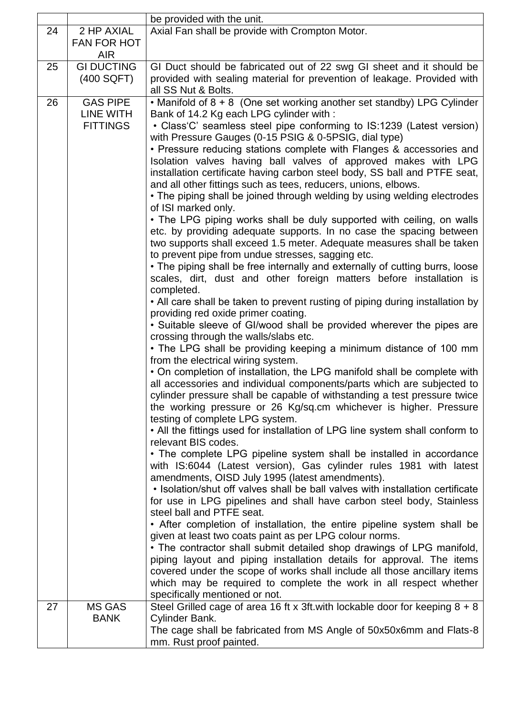|    |                    | be provided with the unit.                                                                                                        |
|----|--------------------|-----------------------------------------------------------------------------------------------------------------------------------|
| 24 | 2 HP AXIAL         | Axial Fan shall be provide with Crompton Motor.                                                                                   |
|    | <b>FAN FOR HOT</b> |                                                                                                                                   |
|    | <b>AIR</b>         |                                                                                                                                   |
| 25 | <b>GI DUCTING</b>  | GI Duct should be fabricated out of 22 swg GI sheet and it should be                                                              |
|    | (400 SQFT)         | provided with sealing material for prevention of leakage. Provided with                                                           |
|    |                    | all SS Nut & Bolts.                                                                                                               |
| 26 | <b>GAS PIPE</b>    | • Manifold of $8 + 8$ (One set working another set standby) LPG Cylinder                                                          |
|    | LINE WITH          | Bank of 14.2 Kg each LPG cylinder with:                                                                                           |
|    | <b>FITTINGS</b>    | • Class'C' seamless steel pipe conforming to IS:1239 (Latest version)<br>with Pressure Gauges (0-15 PSIG & 0-5PSIG, dial type)    |
|    |                    | • Pressure reducing stations complete with Flanges & accessories and                                                              |
|    |                    | Isolation valves having ball valves of approved makes with LPG                                                                    |
|    |                    | installation certificate having carbon steel body, SS ball and PTFE seat,                                                         |
|    |                    | and all other fittings such as tees, reducers, unions, elbows.                                                                    |
|    |                    | • The piping shall be joined through welding by using welding electrodes                                                          |
|    |                    | of ISI marked only.                                                                                                               |
|    |                    | • The LPG piping works shall be duly supported with ceiling, on walls                                                             |
|    |                    | etc. by providing adequate supports. In no case the spacing between                                                               |
|    |                    | two supports shall exceed 1.5 meter. Adequate measures shall be taken<br>to prevent pipe from undue stresses, sagging etc.        |
|    |                    | • The piping shall be free internally and externally of cutting burrs, loose                                                      |
|    |                    | scales, dirt, dust and other foreign matters before installation is                                                               |
|    |                    | completed.                                                                                                                        |
|    |                    | • All care shall be taken to prevent rusting of piping during installation by                                                     |
|    |                    | providing red oxide primer coating.                                                                                               |
|    |                    | • Suitable sleeve of GI/wood shall be provided wherever the pipes are                                                             |
|    |                    | crossing through the walls/slabs etc.                                                                                             |
|    |                    | • The LPG shall be providing keeping a minimum distance of 100 mm                                                                 |
|    |                    | from the electrical wiring system.<br>• On completion of installation, the LPG manifold shall be complete with                    |
|    |                    | all accessories and individual components/parts which are subjected to                                                            |
|    |                    | cylinder pressure shall be capable of withstanding a test pressure twice                                                          |
|    |                    | the working pressure or 26 Kg/sq.cm whichever is higher. Pressure                                                                 |
|    |                    | testing of complete LPG system.                                                                                                   |
|    |                    | • All the fittings used for installation of LPG line system shall conform to                                                      |
|    |                    | relevant BIS codes.                                                                                                               |
|    |                    | • The complete LPG pipeline system shall be installed in accordance                                                               |
|    |                    | with IS:6044 (Latest version), Gas cylinder rules 1981 with latest                                                                |
|    |                    | amendments, OISD July 1995 (latest amendments).<br>• Isolation/shut off valves shall be ball valves with installation certificate |
|    |                    | for use in LPG pipelines and shall have carbon steel body, Stainless                                                              |
|    |                    | steel ball and PTFE seat.                                                                                                         |
|    |                    | • After completion of installation, the entire pipeline system shall be                                                           |
|    |                    | given at least two coats paint as per LPG colour norms.                                                                           |
|    |                    | • The contractor shall submit detailed shop drawings of LPG manifold,                                                             |
|    |                    | piping layout and piping installation details for approval. The items                                                             |
|    |                    | covered under the scope of works shall include all those ancillary items                                                          |
|    |                    | which may be required to complete the work in all respect whether                                                                 |
|    |                    | specifically mentioned or not.                                                                                                    |
| 27 | <b>MS GAS</b>      | Steel Grilled cage of area 16 ft x 3ft. with lockable door for keeping $8 + 8$                                                    |
|    | <b>BANK</b>        | Cylinder Bank.                                                                                                                    |
|    |                    | The cage shall be fabricated from MS Angle of 50x50x6mm and Flats-8                                                               |
|    |                    | mm. Rust proof painted.                                                                                                           |